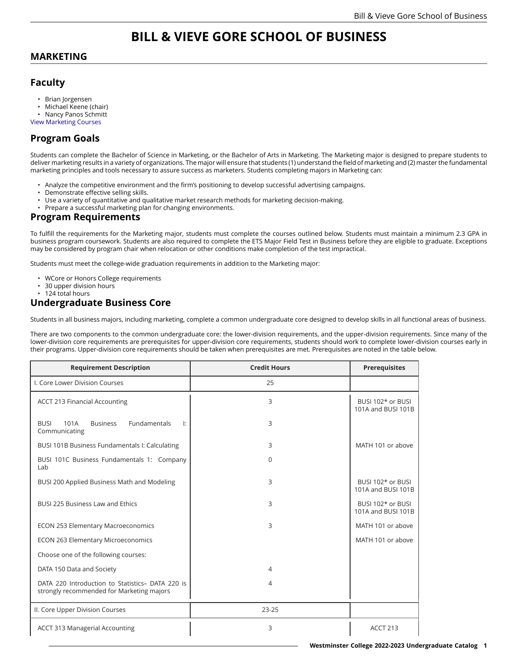# **BILL & VIEVE GORE SCHOOL OF BUSINESS**

#### **MARKETING**

### **Faculty**

- Brian Jorgensen
- Michael Keene (chair)
- Nancy Panos Schmitt
- View [Marketing](https://catalog.westminstercollege.edu/current/undergraduate/courses/mktg.html) Courses

### **Program Goals**

Students can complete the Bachelor of Science in Marketing, or the Bachelor of Arts in Marketing. The Marketing major is designed to prepare students to deliver marketing results in a variety of organizations. The major will ensure that students (1) understand the field of marketing and (2) master the fundamental marketing principles and tools necessary to assure success as marketers. Students completing majors in Marketing can:

- Analyze the competitive environment and the firm's positioning to develop successful advertising campaigns.
- Demonstrate effective selling skills.
- Use a variety of quantitative and qualitative market research methods for marketing decision-making.
- Prepare a successful marketing plan for changing environments.

#### **Program Requirements**

To fulfill the requirements for the Marketing major, students must complete the courses outlined below. Students must maintain a minimum 2.3 GPA in business program coursework. Students are also required to complete the ETS Major Field Test in Business before they are eligible to graduate. Exceptions may be considered by program chair when relocation or other conditions make completion of the test impractical.

Students must meet the college-wide graduation requirements in addition to the Marketing major:

- WCore or Honors College requirements
- 30 upper division hours
- 124 total hours
- **Undergraduate Business Core**

Students in all business majors, including marketing, complete a common undergraduate core designed to develop skills in all functional areas of business.

There are two components to the common undergraduate core: the lower-division requirements, and the upper-division requirements. Since many of the lower-division core requirements are prerequisites for upper-division core requirements, students should work to complete lower-division courses early in their programs. Upper-division core requirements should be taken when prerequisites are met. Prerequisites are noted in the table below.

| <b>Requirement Description</b>                                                                | <b>Credit Hours</b> | <b>Prerequisites</b>                    |
|-----------------------------------------------------------------------------------------------|---------------------|-----------------------------------------|
| I. Core Lower Division Courses                                                                | 25                  |                                         |
| <b>ACCT 213 Financial Accounting</b>                                                          | 3                   | BUSI 102* or BUSI<br>101A and BUSI 101B |
| <b>Fundamentals</b><br>101A<br><b>Business</b><br><b>BUSI</b><br>l:<br>Communicating          | 3                   |                                         |
| BUSI 101B Business Fundamentals I: Calculating                                                | 3                   | MATH 101 or above                       |
| BUSI 101C Business Fundamentals 1: Company<br>Lab                                             | 0                   |                                         |
| BUSI 200 Applied Business Math and Modeling                                                   | 3                   | BUSI 102* or BUSI<br>101A and BUSI 101B |
| <b>BUSI 225 Business Law and Ethics</b>                                                       | 3                   | BUSI 102* or BUSI<br>101A and BUSI 101B |
| <b>ECON 253 Elementary Macroeconomics</b>                                                     | 3                   | MATH 101 or above                       |
| <b>ECON 263 Elementary Microeconomics</b>                                                     |                     | MATH 101 or above                       |
| Choose one of the following courses:                                                          |                     |                                         |
| DATA 150 Data and Society                                                                     | 4                   |                                         |
| DATA 220 Introduction to Statistics- DATA 220 is<br>strongly recommended for Marketing majors | 4                   |                                         |
| II. Core Upper Division Courses                                                               | 23-25               |                                         |
| <b>ACCT 313 Managerial Accounting</b>                                                         | 3                   | ACCT 213                                |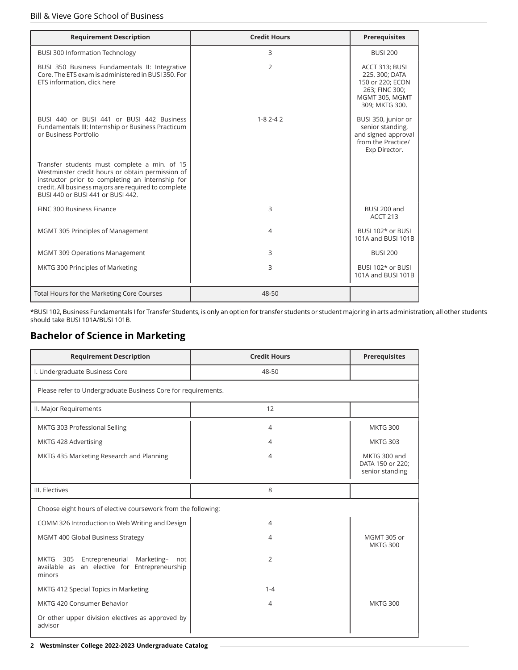| <b>Requirement Description</b>                                                                                                                                                                                                                    | <b>Credit Hours</b> | <b>Prerequisites</b>                                                                                       |
|---------------------------------------------------------------------------------------------------------------------------------------------------------------------------------------------------------------------------------------------------|---------------------|------------------------------------------------------------------------------------------------------------|
| <b>BUSI 300 Information Technology</b>                                                                                                                                                                                                            | 3                   | <b>BUSI 200</b>                                                                                            |
| BUSI 350 Business Fundamentals II: Integrative<br>Core. The ETS exam is administered in BUSI 350. For<br>ETS information, click here                                                                                                              | $\overline{2}$      | ACCT 313; BUSI<br>225, 300; DATA<br>150 or 220; ECON<br>263; FINC 300;<br>MGMT 305, MGMT<br>309; MKTG 300. |
| BUSI 440 or BUSI 441 or BUSI 442 Business<br>Fundamentals III: Internship or Business Practicum<br>or Business Portfolio                                                                                                                          | $1 - 82 - 42$       | BUSI 350, junior or<br>senior standing,<br>and signed approval<br>from the Practice/<br>Exp Director.      |
| Transfer students must complete a min. of 15<br>Westminster credit hours or obtain permission of<br>instructor prior to completing an internship for<br>credit. All business majors are required to complete<br>BUSI 440 or BUSI 441 or BUSI 442. |                     |                                                                                                            |
| FINC 300 Business Finance                                                                                                                                                                                                                         | 3                   | BUSI 200 and<br><b>ACCT 213</b>                                                                            |
| MGMT 305 Principles of Management                                                                                                                                                                                                                 | 4                   | BUSI 102* or BUSI<br>101A and BUSI 101B                                                                    |
| <b>MGMT 309 Operations Management</b>                                                                                                                                                                                                             | 3                   | <b>BUSI 200</b>                                                                                            |
| MKTG 300 Principles of Marketing                                                                                                                                                                                                                  | 3                   | BUSI 102* or BUSI<br>101A and BUSI 101B                                                                    |
| Total Hours for the Marketing Core Courses                                                                                                                                                                                                        | 48-50               |                                                                                                            |

\*BUSI 102, Business Fundamentals I for Transfer Students, is only an option for transfer students or student majoring in arts administration; all other students should take BUSI 101A/BUSI 101B.

## **Bachelor of Science in Marketing**

| <b>Requirement Description</b>                                                                              | <b>Credit Hours</b> | <b>Prerequisites</b>                                |
|-------------------------------------------------------------------------------------------------------------|---------------------|-----------------------------------------------------|
| I. Undergraduate Business Core                                                                              | 48-50               |                                                     |
| Please refer to Undergraduate Business Core for requirements.                                               |                     |                                                     |
| II. Major Requirements                                                                                      | 12                  |                                                     |
| MKTG 303 Professional Selling                                                                               | 4                   | <b>MKTG 300</b>                                     |
| MKTG 428 Advertising                                                                                        | 4                   | <b>MKTG 303</b>                                     |
| MKTG 435 Marketing Research and Planning                                                                    | 4                   | MKTG 300 and<br>DATA 150 or 220;<br>senior standing |
| III. Electives                                                                                              | 8                   |                                                     |
| Choose eight hours of elective coursework from the following:                                               |                     |                                                     |
| COMM 326 Introduction to Web Writing and Design                                                             | 4                   |                                                     |
| MGMT 400 Global Business Strategy                                                                           | 4                   | MGMT 305 or<br><b>MKTG 300</b>                      |
| Entrepreneurial<br>MKTG 305<br>Marketing-<br>not<br>available as an elective for Entrepreneurship<br>minors | 2                   |                                                     |
| MKTG 412 Special Topics in Marketing                                                                        | $1 - 4$             |                                                     |
| MKTG 420 Consumer Behavior                                                                                  | $\overline{4}$      | <b>MKTG 300</b>                                     |
| Or other upper division electives as approved by<br>advisor                                                 |                     |                                                     |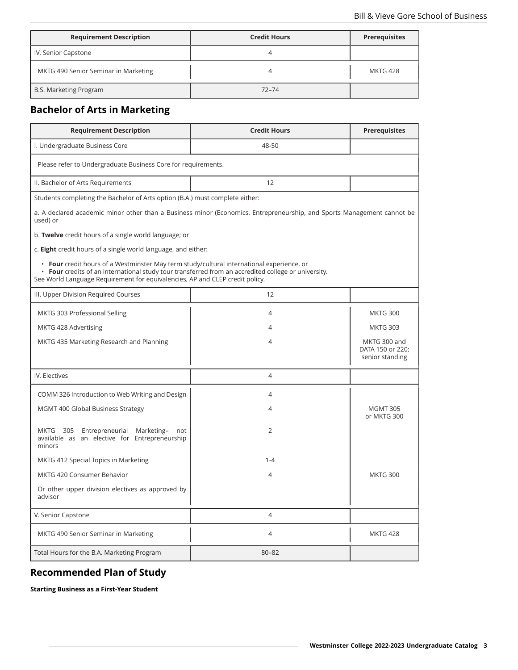| <b>Requirement Description</b>       | <b>Credit Hours</b> | <b>Prerequisites</b> |
|--------------------------------------|---------------------|----------------------|
| IV. Senior Capstone                  |                     |                      |
| MKTG 490 Senior Seminar in Marketing |                     | <b>MKTG 428</b>      |
| B.S. Marketing Program               | $72 - 74$           |                      |

## **Bachelor of Arts in Marketing**

| <b>Requirement Description</b>                                                                                                                                                                                                                                                   | <b>Credit Hours</b>                                                                                                    | <b>Prerequisites</b>                                |  |
|----------------------------------------------------------------------------------------------------------------------------------------------------------------------------------------------------------------------------------------------------------------------------------|------------------------------------------------------------------------------------------------------------------------|-----------------------------------------------------|--|
| I. Undergraduate Business Core                                                                                                                                                                                                                                                   | 48-50                                                                                                                  |                                                     |  |
| Please refer to Undergraduate Business Core for requirements.                                                                                                                                                                                                                    |                                                                                                                        |                                                     |  |
| II. Bachelor of Arts Requirements                                                                                                                                                                                                                                                | 12                                                                                                                     |                                                     |  |
| Students completing the Bachelor of Arts option (B.A.) must complete either:                                                                                                                                                                                                     |                                                                                                                        |                                                     |  |
| used) or                                                                                                                                                                                                                                                                         | a. A declared academic minor other than a Business minor (Economics, Entrepreneurship, and Sports Management cannot be |                                                     |  |
| b. Twelve credit hours of a single world language; or                                                                                                                                                                                                                            |                                                                                                                        |                                                     |  |
| c. Eight credit hours of a single world language, and either:                                                                                                                                                                                                                    |                                                                                                                        |                                                     |  |
| • Four credit hours of a Westminster May term study/cultural international experience, or<br>• Four credits of an international study tour transferred from an accredited college or university.<br>See World Language Requirement for equivalencies, AP and CLEP credit policy. |                                                                                                                        |                                                     |  |
| III. Upper Division Required Courses                                                                                                                                                                                                                                             | 12                                                                                                                     |                                                     |  |
| MKTG 303 Professional Selling                                                                                                                                                                                                                                                    | 4                                                                                                                      | <b>MKTG 300</b>                                     |  |
| MKTG 428 Advertising                                                                                                                                                                                                                                                             | 4                                                                                                                      | <b>MKTG 303</b>                                     |  |
| MKTG 435 Marketing Research and Planning                                                                                                                                                                                                                                         | 4                                                                                                                      | MKTG 300 and<br>DATA 150 or 220;<br>senior standing |  |
| IV. Electives                                                                                                                                                                                                                                                                    | 4                                                                                                                      |                                                     |  |
| COMM 326 Introduction to Web Writing and Design                                                                                                                                                                                                                                  | 4                                                                                                                      |                                                     |  |
| MGMT 400 Global Business Strategy                                                                                                                                                                                                                                                | 4                                                                                                                      | <b>MGMT 305</b><br>or MKTG 300                      |  |
| MKTG 305<br>Entrepreneurial Marketing- not<br>available as an elective for Entrepreneurship<br>minors                                                                                                                                                                            | $\overline{2}$                                                                                                         |                                                     |  |
| MKTG 412 Special Topics in Marketing                                                                                                                                                                                                                                             | $1 - 4$                                                                                                                |                                                     |  |
| MKTG 420 Consumer Behavior                                                                                                                                                                                                                                                       | 4                                                                                                                      | <b>MKTG 300</b>                                     |  |
| Or other upper division electives as approved by<br>advisor                                                                                                                                                                                                                      |                                                                                                                        |                                                     |  |
| V. Senior Capstone                                                                                                                                                                                                                                                               | 4                                                                                                                      |                                                     |  |
| MKTG 490 Senior Seminar in Marketing                                                                                                                                                                                                                                             | 4                                                                                                                      | <b>MKTG 428</b>                                     |  |
| Total Hours for the B.A. Marketing Program                                                                                                                                                                                                                                       | $80 - 82$                                                                                                              |                                                     |  |

## **Recommended Plan of Study**

**Starting Business as a First-Year Student**